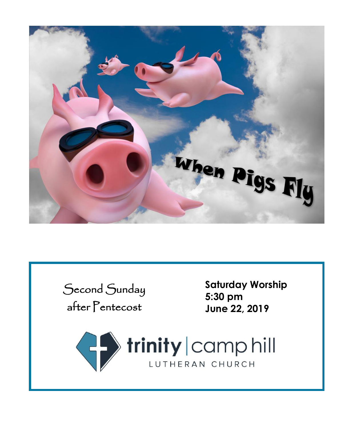

Second Sunday after Pentecost

**Saturday Worship 5 : 30 p m June 22, 201 9**

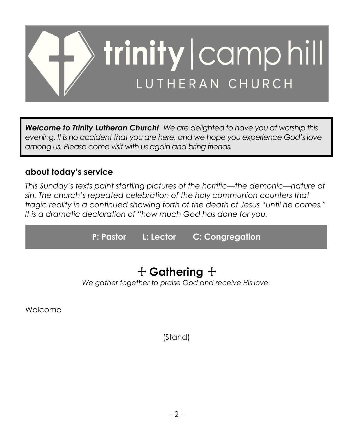

*Welcome to Trinity Lutheran Church! We are delighted to have you at worship this evening. It is no accident that you are here, and we hope you experience God's love among us. Please come visit with us again and bring friends.*

# **about today's service**

*This Sunday's texts paint startling pictures of the horrific—the demonic—nature of sin. The church's repeated celebration of the holy communion counters that tragic reality in a continued showing forth of the death of Jesus "until he comes." It is a dramatic declaration of "how much God has done for you.*

**P: Pastor L: Lector C: Congregation**

# + **Gathering** +

*We gather together to praise God and receive His love.*

Welcome

(Stand)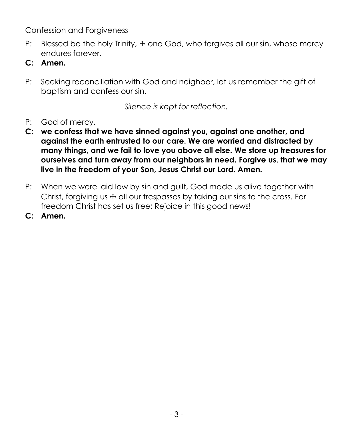Confession and Forgiveness

- P: Blessed be the holy Trinity,  $\pm$  one God, who forgives all our sin, whose mercy endures forever.
- **C: Amen.**
- P: Seeking reconciliation with God and neighbor, let us remember the gift of baptism and confess our sin.

*Silence is kept for reflection.*

- P: God of mercy,
- **C: we confess that we have sinned against you, against one another, and against the earth entrusted to our care. We are worried and distracted by many things, and we fail to love you above all else. We store up treasures for ourselves and turn away from our neighbors in need. Forgive us, that we may live in the freedom of your Son, Jesus Christ our Lord. Amen.**
- P: When we were laid low by sin and guilt, God made us alive together with Christ, forgiving us + all our trespasses by taking our sins to the cross. For freedom Christ has set us free: Rejoice in this good news!
- **C: Amen.**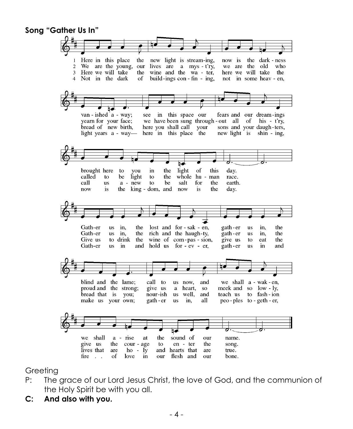

Greeting

- P: The grace of our Lord Jesus Christ, the love of God, and the communion of the Holy Spirit be with you all.
- **C: And also with you.**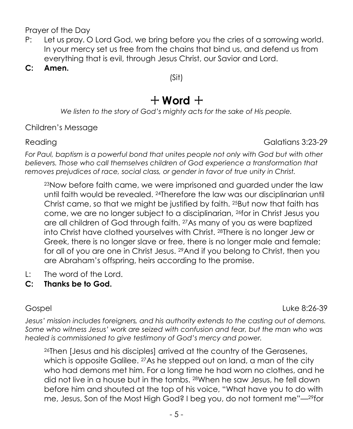Prayer of the Day

- P: Let us pray. O Lord God, we bring before you the cries of a sorrowing world. In your mercy set us free from the chains that bind us, and defend us from everything that is evil, through Jesus Christ, our Savior and Lord.
- **C: Amen.**

# (Sit)

# $+$  Word  $+$

*We listen to the story of God's mighty acts for the sake of His people.*

Children's Message

Reading **Galatians 3:23-29** 

For Paul, baptism is a powerful bond that unites people not only with God but with other *believers. Those who call themselves children of God experience a transformation that removes prejudices of race, social class, or gender in favor of true unity in Christ.*

<sup>23</sup>Now before faith came, we were imprisoned and guarded under the law until faith would be revealed. <sup>24</sup>Therefore the law was our disciplinarian until Christ came, so that we might be justified by faith. <sup>25</sup>But now that faith has come, we are no longer subject to a disciplinarian, <sup>26</sup>for in Christ Jesus you are all children of God through faith. <sup>27</sup>As many of you as were baptized into Christ have clothed yourselves with Christ. <sup>28</sup>There is no longer Jew or Greek, there is no longer slave or free, there is no longer male and female; for all of you are one in Christ Jesus. <sup>29</sup>And if you belong to Christ, then you are Abraham's offspring, heirs according to the promise.

- L: The word of the Lord.
- **C: Thanks be to God.**

Gospel Luke 8:26-39

*Jesus' mission includes foreigners, and his authority extends to the casting out of demons. Some who witness Jesus' work are seized with confusion and fear, but the man who was healed is commissioned to give testimony of God's mercy and power.*

<sup>26</sup>Then [Jesus and his disciples] arrived at the country of the Gerasenes, which is opposite Galilee. <sup>27</sup>As he stepped out on land, a man of the city who had demons met him. For a long time he had worn no clothes, and he did not live in a house but in the tombs. <sup>28</sup>When he saw Jesus, he fell down before him and shouted at the top of his voice, "What have you to do with me, Jesus, Son of the Most High God? I beg you, do not torment me"—29for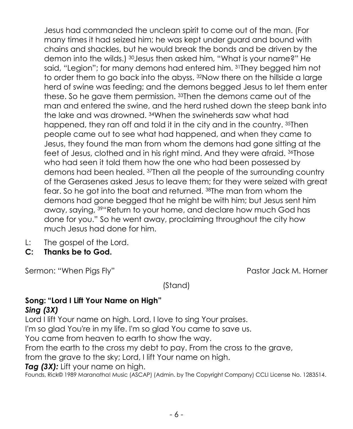Jesus had commanded the unclean spirit to come out of the man. (For many times it had seized him; he was kept under guard and bound with chains and shackles, but he would break the bonds and be driven by the demon into the wilds.) <sup>30</sup>Jesus then asked him, "What is your name?" He said, "Legion"; for many demons had entered him. <sup>31</sup>They begged him not to order them to go back into the abyss. 32Now there on the hillside a large herd of swine was feeding; and the demons begged Jesus to let them enter these. So he gave them permission. <sup>33</sup>Then the demons came out of the man and entered the swine, and the herd rushed down the steep bank into the lake and was drowned. <sup>34</sup>When the swineherds saw what had happened, they ran off and told it in the city and in the country. 35Then people came out to see what had happened, and when they came to Jesus, they found the man from whom the demons had gone sitting at the feet of Jesus, clothed and in his right mind. And they were afraid. 36Those who had seen it told them how the one who had been possessed by demons had been healed. <sup>37</sup>Then all the people of the surrounding country of the Gerasenes asked Jesus to leave them; for they were seized with great fear. So he got into the boat and returned. <sup>38</sup>The man from whom the demons had gone begged that he might be with him; but Jesus sent him away, saying, <sup>39</sup>"Return to your home, and declare how much God has done for you." So he went away, proclaiming throughout the city how much Jesus had done for him.

- L: The gospel of the Lord.
- **C: Thanks be to God.**

Sermon: "When Pigs Fly" Pastor Jack M. Horner

(Stand)

#### **Song: "Lord I Lift Your Name on High"** *Sing (3X)*

Lord I lift Your name on high. Lord, I love to sing Your praises.

I'm so glad You're in my life. I'm so glad You came to save us.

You came from heaven to earth to show the way.

From the earth to the cross my debt to pay. From the cross to the grave,

from the grave to the sky; Lord, I lift Your name on high.

*Tag (3X):* Lift your name on high.

Founds, Rick© 1989 Maranatha! Music (ASCAP) (Admin. by The Copyright Company) CCLI License No. 1283514.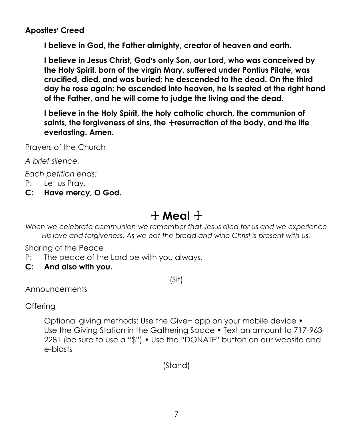#### **Apostles**= **Creed**

**I believe in God, the Father almighty, creator of heaven and earth.**

**I believe in Jesus Christ, God's only Son, our Lord, who was conceived by the Holy Spirit, born of the virgin Mary, suffered under Pontius Pilate, was crucified, died, and was buried; he descended to the dead. On the third day he rose again; he ascended into heaven, he is seated at the right hand of the Father, and he will come to judge the living and the dead.**

**I believe in the Holy Spirit, the holy catholic church, the communion of**  saints, the forgiveness of sins, the *+*resurrection of the body, and the life **everlasting. Amen.**

Prayers of the Church

*A brief silence.*

*Each petition ends:*

- P: Let us Pray.
- **C: Have mercy, O God.**

# $+$  Meal  $+$

*When we celebrate communion we remember that Jesus died for us and we experience His love and forgiveness. As we eat the bread and wine Christ is present with us.*

Sharing of the Peace

- P: The peace of the Lord be with you always.
- **C: And also with you.**

(Sit)

Announcements

**Offering** 

Optional giving methods: Use the Give+ app on your mobile device • Use the Giving Station in the Gathering Space • Text an amount to 717-963- 2281 (be sure to use a "\$") • Use the "DONATE" button on our website and e-blasts

(Stand)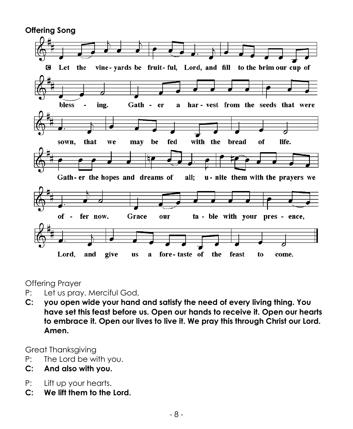

### Offering Prayer

- P: Let us pray. Merciful God,
- **C: you open wide your hand and satisfy the need of every living thing. You have set this feast before us. Open our hands to receive it. Open our hearts to embrace it. Open our lives to live it. We pray this through Christ our Lord. Amen.**

Great Thanksgiving

- P: The Lord be with you.
- **C: And also with you.**
- P: Lift up your hearts.
- **C: We lift them to the Lord.**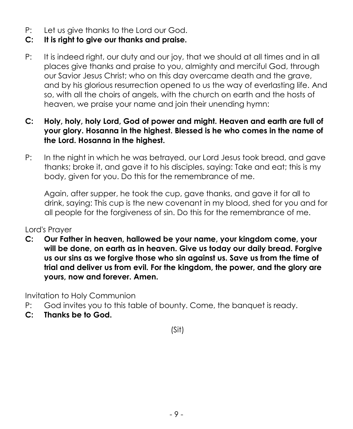- P: Let us give thanks to the Lord our God.
- **C: It is right to give our thanks and praise.**
- P: It is indeed right, our duty and our joy, that we should at all times and in all places give thanks and praise to you, almighty and merciful God, through our Savior Jesus Christ; who on this day overcame death and the grave, and by his glorious resurrection opened to us the way of everlasting life. And so, with all the choirs of angels, with the church on earth and the hosts of heaven, we praise your name and join their unending hymn:
- **C: Holy, holy, holy Lord, God of power and might. Heaven and earth are full of your glory. Hosanna in the highest. Blessed is he who comes in the name of the Lord. Hosanna in the highest.**
- P: In the night in which he was betrayed, our Lord Jesus took bread, and gave thanks; broke it, and gave it to his disciples, saying: Take and eat; this is my body, given for you. Do this for the remembrance of me.

Again, after supper, he took the cup, gave thanks, and gave it for all to drink, saying: This cup is the new covenant in my blood, shed for you and for all people for the forgiveness of sin. Do this for the remembrance of me.

Lord's Prayer

**C: Our Father in heaven, hallowed be your name, your kingdom come, your will be done, on earth as in heaven. Give us today our daily bread. Forgive us our sins as we forgive those who sin against us. Save us from the time of trial and deliver us from evil. For the kingdom, the power, and the glory are yours, now and forever. Amen.**

Invitation to Holy Communion

- P: God invites you to this table of bounty. Come, the banquet is ready.
- **C: Thanks be to God.**

(Sit)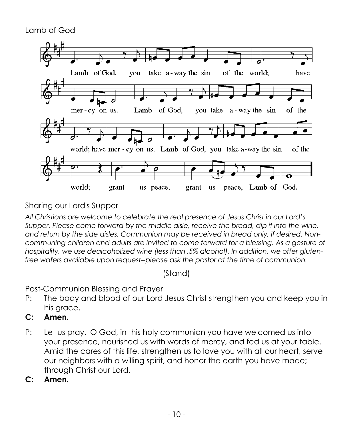## Lamb of God



Sharing our Lord's Supper

*All Christians are welcome to celebrate the real presence of Jesus Christ in our Lord's Supper. Please come forward by the middle aisle, receive the bread, dip it into the wine, and return by the side aisles. Communion may be received in bread only, if desired. Noncommuning children and adults are invited to come forward for a blessing. As a gesture of hospitality, we use dealcoholized wine (less than .5% alcohol). In addition, we offer glutenfree wafers available upon request--please ask the pastor at the time of communion.*

(Stand)

Post-Communion Blessing and Prayer

- P: The body and blood of our Lord Jesus Christ strengthen you and keep you in his grace.
- **C: Amen.**
- P: Let us pray. O God, in this holy communion you have welcomed us into your presence, nourished us with words of mercy, and fed us at your table. Amid the cares of this life, strengthen us to love you with all our heart, serve our neighbors with a willing spirit, and honor the earth you have made; through Christ our Lord.
- **C: Amen.**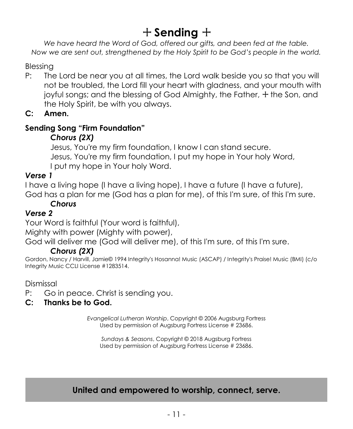# + **Sending** +

*We have heard the Word of God, offered our gifts, and been fed at the table. Now we are sent out, strengthened by the Holy Spirit to be God's people in the world.*

## Blessing

P: The Lord be near you at all times, the Lord walk beside you so that you will not be troubled, the Lord fill your heart with gladness, and your mouth with joyful songs; and the blessing of God Almighty, the Father,  $\pm$  the Son, and the Holy Spirit, be with you always.

**C: Amen.**

# **Sending Song "Firm Foundation"**

# *Chorus (2X)*

Jesus, You're my firm foundation, I know I can stand secure. Jesus, You're my firm foundation, I put my hope in Your holy Word, I put my hope in Your holy Word.

# *Verse 1*

I have a living hope (I have a living hope), I have a future (I have a future), God has a plan for me (God has a plan for me), of this I'm sure, of this I'm sure.

# *Chorus*

# *Verse 2*

Your Word is faithful (Your word is faithful),

Mighty with power (Mighty with power),

God will deliver me (God will deliver me), of this I'm sure, of this I'm sure.

### *Chorus (2X)*

Gordon, Nancy / Harvill, Jamie© 1994 Integrity's Hosanna! Music (ASCAP) / Integrity's Praise! Music (BMI) (c/o Integrity Music CCLI License #1283514.

Dismissal

P: Go in peace. Christ is sending you.

### **C: Thanks be to God.**

*Evangelical Lutheran Worship*, Copyright © 2006 Augsburg Fortress Used by permission of Augsburg Fortress License # 23686.

*Sundays & Seasons*, Copyright © 2018 Augsburg Fortress Used by permission of Augsburg Fortress License # 23686.

# **United and empowered to worship, connect, serve.**